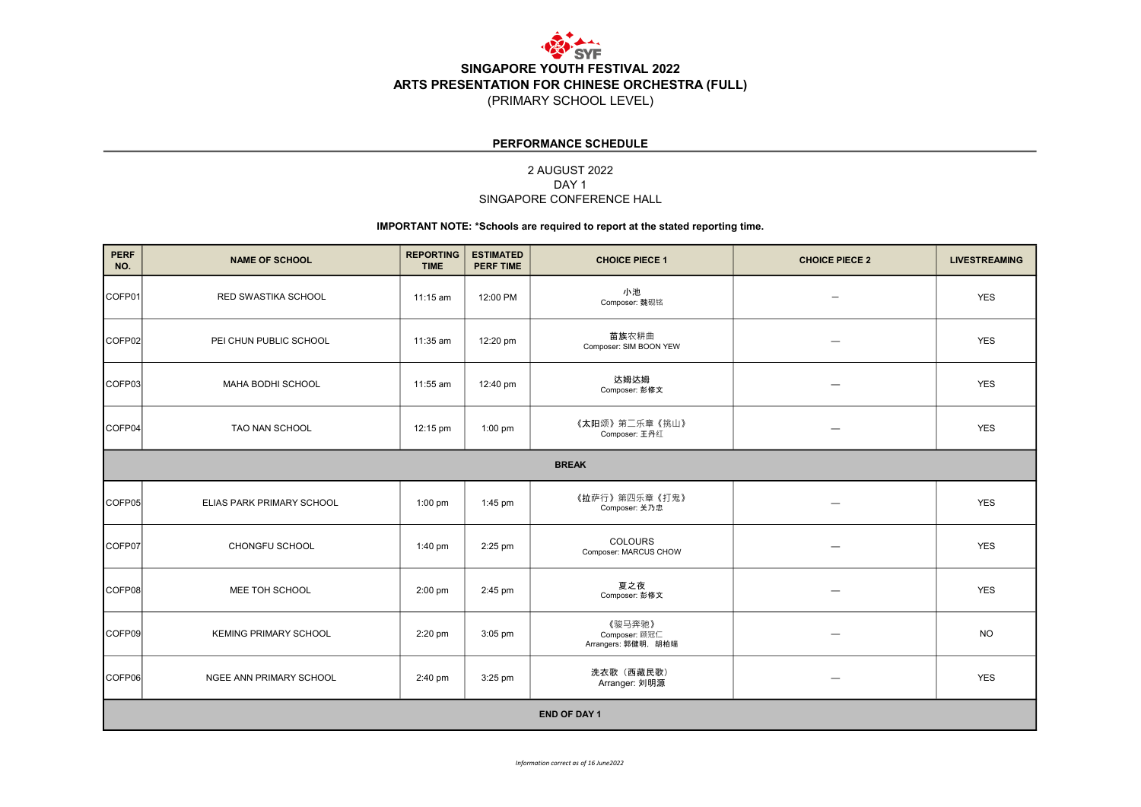

#### PERFORMANCE SCHEDULE

### 2 AUGUST 2022 SINGAPORE CONFERENCE HALL DAY 1

#### IMPORTANT NOTE: \*Schools are required to report at the stated reporting time.

| <b>PERF</b><br>NO.  | <b>NAME OF SCHOOL</b>        | <b>REPORTING</b><br><b>TIME</b> | <b>ESTIMATED</b><br><b>PERF TIME</b> | <b>CHOICE PIECE 1</b>                          | <b>CHOICE PIECE 2</b>    | <b>LIVESTREAMING</b> |  |  |
|---------------------|------------------------------|---------------------------------|--------------------------------------|------------------------------------------------|--------------------------|----------------------|--|--|
| COFP01              | RED SWASTIKA SCHOOL          | 11:15 am                        | 12:00 PM                             | 小池<br>Composer: 魏砚铭                            |                          | <b>YES</b>           |  |  |
| COFP02              | PEI CHUN PUBLIC SCHOOL       | 11:35 am                        | 12:20 pm                             | 苗族农耕曲<br>Composer: SIM BOON YEW                |                          | <b>YES</b>           |  |  |
| COFP03              | MAHA BODHI SCHOOL            | 11:55 am                        | 12:40 pm                             | 达姆达姆<br>Composer: 彭修文                          |                          | <b>YES</b>           |  |  |
| COFP04              | TAO NAN SCHOOL               | 12:15 pm                        | $1:00$ pm                            | 《太阳颂》第二乐章《挑山》<br>Composer: 王丹红                 |                          | <b>YES</b>           |  |  |
| <b>BREAK</b>        |                              |                                 |                                      |                                                |                          |                      |  |  |
| COFP05              | ELIAS PARK PRIMARY SCHOOL    | $1:00$ pm                       | 1:45 pm                              | 《拉萨行》第四乐章《打鬼》<br>Composer: 关乃忠                 |                          | <b>YES</b>           |  |  |
| COFP07              | <b>CHONGFU SCHOOL</b>        | $1:40 \text{ pm}$               | 2:25 pm                              | COLOURS<br>Composer: MARCUS CHOW               |                          | <b>YES</b>           |  |  |
| COFP08              | MEE TOH SCHOOL               | $2:00$ pm                       | 2:45 pm                              | 夏之夜<br>Composer: 彭修文                           | $\overline{\phantom{0}}$ | <b>YES</b>           |  |  |
| COFP09              | <b>KEMING PRIMARY SCHOOL</b> | $2:20$ pm                       | $3:05$ pm                            | 《骏马奔驰》<br>Composer: 顾冠仁<br>Arrangers: 郭健明, 胡柏端 |                          | <b>NO</b>            |  |  |
| COFP06              | NGEE ANN PRIMARY SCHOOL      | 2:40 pm                         | 3:25 pm                              | 洗衣歌 (西藏民歌)<br>Arranger: 刘明源                    | $\overline{\phantom{0}}$ | <b>YES</b>           |  |  |
| <b>END OF DAY 1</b> |                              |                                 |                                      |                                                |                          |                      |  |  |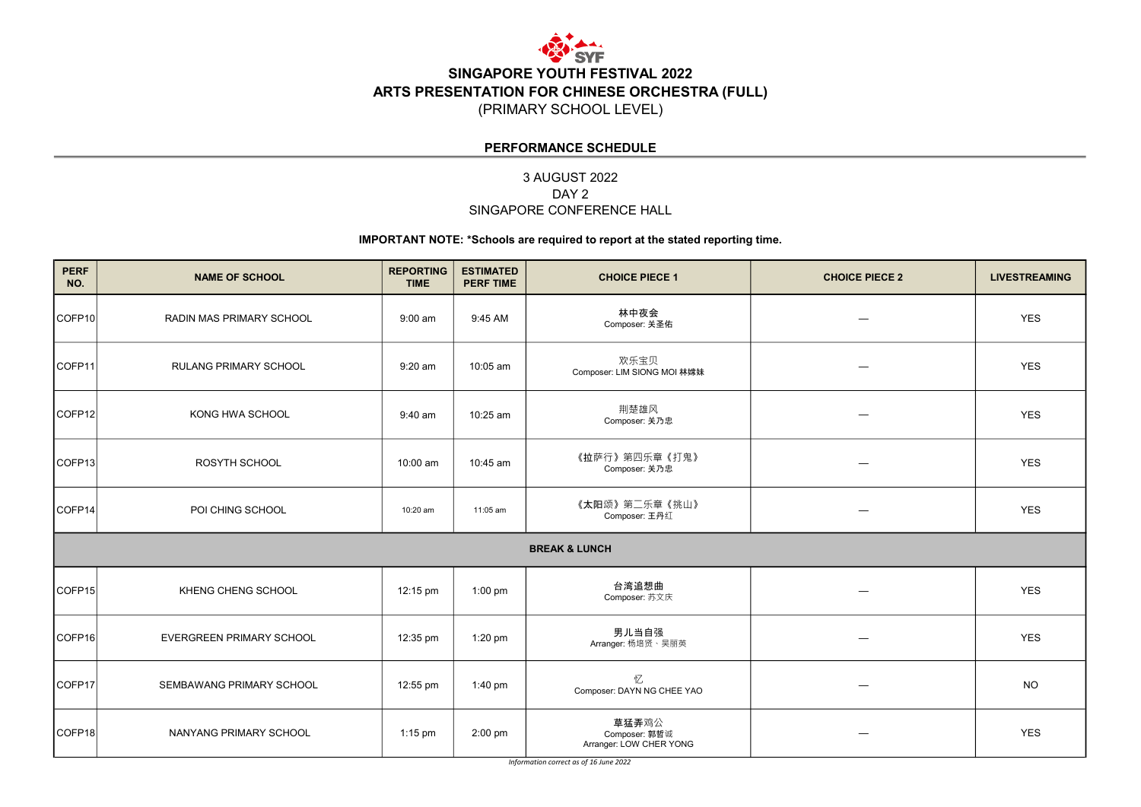

## PERFORMANCE SCHEDULE

# 3 AUGUST 2022 SINGAPORE CONFERENCE HALL DAY<sub>2</sub>

### IMPORTANT NOTE: \*Schools are required to report at the stated reporting time.

| <b>PERF</b><br>NO.       | <b>NAME OF SCHOOL</b>        | <b>REPORTING</b><br><b>TIME</b> | <b>ESTIMATED</b><br><b>PERF TIME</b> | <b>CHOICE PIECE 1</b>                             | <b>CHOICE PIECE 2</b> | <b>LIVESTREAMING</b> |  |  |
|--------------------------|------------------------------|---------------------------------|--------------------------------------|---------------------------------------------------|-----------------------|----------------------|--|--|
| COFP <sub>10</sub>       | RADIN MAS PRIMARY SCHOOL     | $9:00$ am                       | 9:45 AM                              | 林中夜会<br>Composer: 关圣佑                             |                       | <b>YES</b>           |  |  |
| ICOFP <sub>11</sub>      | <b>RULANG PRIMARY SCHOOL</b> | $9:20$ am                       | 10:05 am                             | 欢乐宝贝<br>Composer: LIM SIONG MOI 林嫦妹               |                       | <b>YES</b>           |  |  |
| COFP <sub>12</sub>       | KONG HWA SCHOOL              | 9:40 am                         | 10:25 am                             | 荆楚雄风<br>Composer: 关乃忠                             | —                     | <b>YES</b>           |  |  |
| COFP <sub>13</sub>       | <b>ROSYTH SCHOOL</b>         | 10:00 am                        | 10:45 am                             | 《拉萨行》第四乐章《打鬼》<br>Composer: 关乃忠                    | —                     | <b>YES</b>           |  |  |
| COFP <sub>14</sub>       | POI CHING SCHOOL             | 10:20 am                        | 11:05 am                             | 《太阳颂》第二乐章《挑山》<br>Composer: 王丹红                    | —                     | <b>YES</b>           |  |  |
| <b>BREAK &amp; LUNCH</b> |                              |                                 |                                      |                                                   |                       |                      |  |  |
| COFP <sub>15</sub>       | KHENG CHENG SCHOOL           | 12:15 pm                        | $1:00$ pm                            | 台湾追想曲<br>Composer: 苏文庆                            |                       | <b>YES</b>           |  |  |
| COFP <sub>16</sub>       | EVERGREEN PRIMARY SCHOOL     | 12:35 pm                        | 1:20 pm                              | 男儿当自强<br>Arranger: 杨培贤、吴丽英                        |                       | <b>YES</b>           |  |  |
| COFP <sub>17</sub>       | SEMBAWANG PRIMARY SCHOOL     | 12:55 pm                        | 1:40 pm                              | 忆<br>Composer: DAYN NG CHEE YAO                   |                       | <b>NO</b>            |  |  |
| COFP <sub>18</sub>       | NANYANG PRIMARY SCHOOL       | $1:15$ pm                       | 2:00 pm                              | 草猛弄鸡公<br>Composer: 郭哲诚<br>Arranger: LOW CHER YONG |                       | <b>YES</b>           |  |  |

Information correct as of 16 June 2022